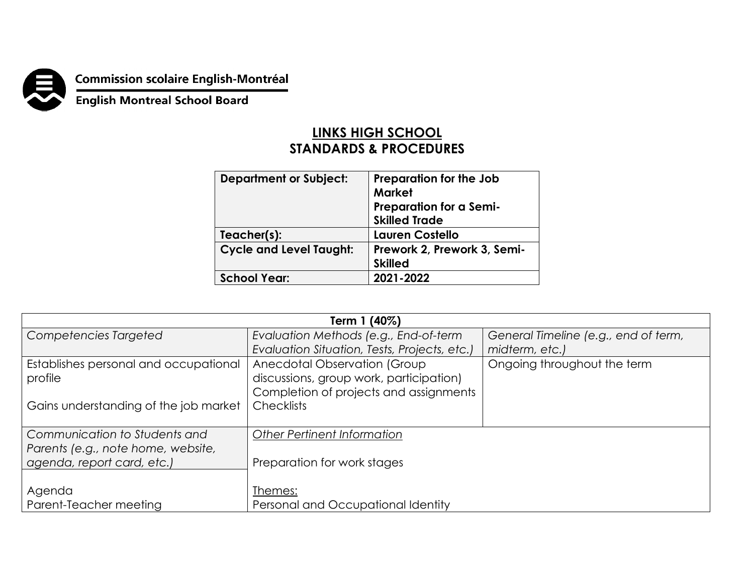**Commission scolaire English-Montréal<br>English Montreal School Board** 

## **LINKS HIGH SCHOOL STANDARDS & PROCEDURES**

| <b>Department or Subject:</b>  | Preparation for the Job        |  |
|--------------------------------|--------------------------------|--|
|                                | <b>Market</b>                  |  |
|                                | <b>Preparation for a Semi-</b> |  |
|                                | <b>Skilled Trade</b>           |  |
| Teacher(s):                    | Lauren Costello                |  |
| <b>Cycle and Level Taught:</b> | Prework 2, Prework 3, Semi-    |  |
|                                | <b>Skilled</b>                 |  |
| <b>School Year:</b>            | 2021-2022                      |  |
|                                |                                |  |

| Term 1 (40%)                          |                                              |                                      |  |  |
|---------------------------------------|----------------------------------------------|--------------------------------------|--|--|
| Competencies Targeted                 | Evaluation Methods (e.g., End-of-term        | General Timeline (e.g., end of term, |  |  |
|                                       | Evaluation Situation, Tests, Projects, etc.) | midterm, etc.)                       |  |  |
| Establishes personal and occupational | Anecdotal Observation (Group                 | Ongoing throughout the term          |  |  |
| profile                               | discussions, group work, participation)      |                                      |  |  |
|                                       | Completion of projects and assignments       |                                      |  |  |
| Gains understanding of the job market | <b>Checklists</b>                            |                                      |  |  |
|                                       |                                              |                                      |  |  |
| Communication to Students and         | <b>Other Pertinent Information</b>           |                                      |  |  |
| Parents (e.g., note home, website,    |                                              |                                      |  |  |
| agenda, report card, etc.)            | Preparation for work stages                  |                                      |  |  |
|                                       |                                              |                                      |  |  |
| Agenda                                | Themes:                                      |                                      |  |  |
| Parent-Teacher meeting                | Personal and Occupational Identity           |                                      |  |  |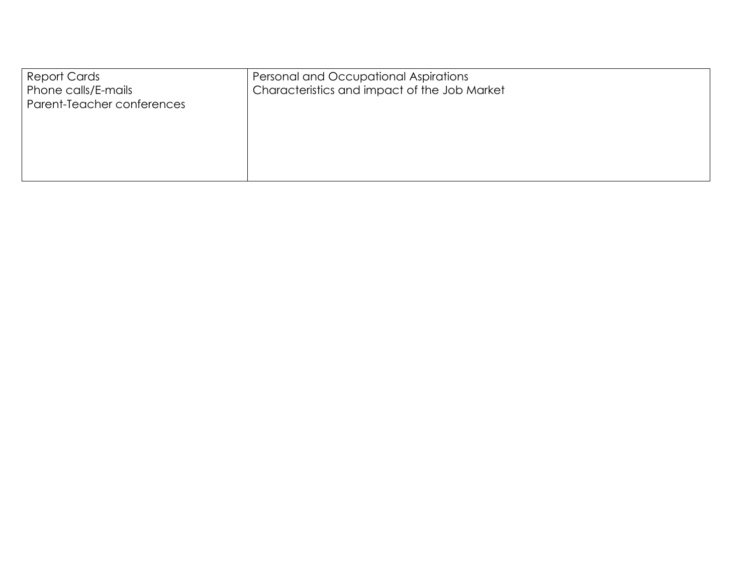| <b>Report Cards</b><br>Phone calls/E-mails<br>Parent-Teacher conferences | Personal and Occupational Aspirations<br>Characteristics and impact of the Job Market |
|--------------------------------------------------------------------------|---------------------------------------------------------------------------------------|
|                                                                          |                                                                                       |